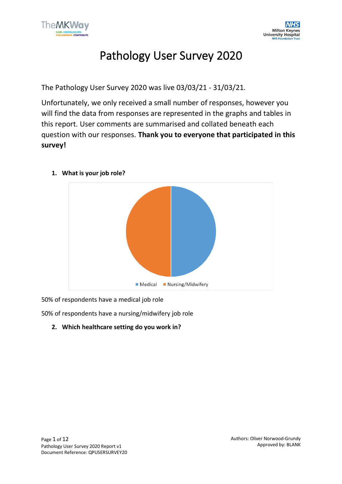

# Pathology User Survey 2020

The Pathology User Survey 2020 was live 03/03/21 - 31/03/21.

Unfortunately, we only received a small number of responses, however you will find the data from responses are represented in the graphs and tables in this report. User comments are summarised and collated beneath each question with our responses. **Thank you to everyone that participated in this survey!**



**1. What is your job role?**

50% of respondents have a medical job role

50% of respondents have a nursing/midwifery job role

**2. Which healthcare setting do you work in?**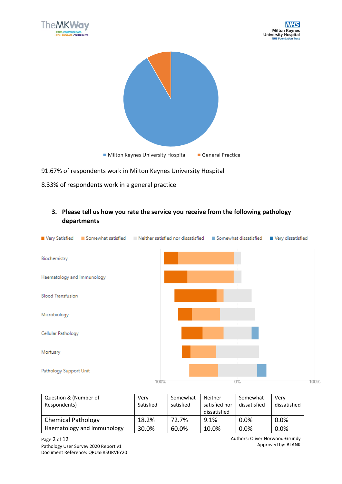



- 91.67% of respondents work in Milton Keynes University Hospital
- 8.33% of respondents work in a general practice

# **3. Please tell us how you rate the service you receive from the following pathology departments**

|                            | Very Satisfied <b>Exercise Separation</b> Somewhat satisfied <b>Exercise Set In Neither satisfied</b> nor dissatisfied | Somewhat dissatisfied | Very dissatisfied |
|----------------------------|------------------------------------------------------------------------------------------------------------------------|-----------------------|-------------------|
| Biochemistry               |                                                                                                                        |                       |                   |
| Haematology and Immunology |                                                                                                                        |                       |                   |
| <b>Blood Transfusion</b>   |                                                                                                                        |                       |                   |
| Microbiology               |                                                                                                                        |                       |                   |
| Cellular Pathology         |                                                                                                                        |                       |                   |
| Mortuary                   |                                                                                                                        |                       |                   |
| Pathology Support Unit     |                                                                                                                        |                       |                   |
|                            | 100%                                                                                                                   | 0%                    | 100%              |

| Question & (Number of<br>Respondents) | Very<br>Satisfied | Somewhat<br>satisfied | Neither<br>satisfied nor<br>dissatisfied | Somewhat<br>dissatisfied | Verv<br>dissatisfied |
|---------------------------------------|-------------------|-----------------------|------------------------------------------|--------------------------|----------------------|
| <b>Chemical Pathology</b>             | 18.2%             | 72.7%                 | 9.1%                                     | 0.0%                     | 0.0%                 |
| Haematology and Immunology            | 30.0%             | 60.0%                 | 10.0%                                    | 0.0%                     | 0.0%                 |

Page 2 of 12 Pathology User Survey 2020 Report v1 Document Reference: QPUSERSURVEY20 Authors: Oliver Norwood-Grundy Approved by: BLANK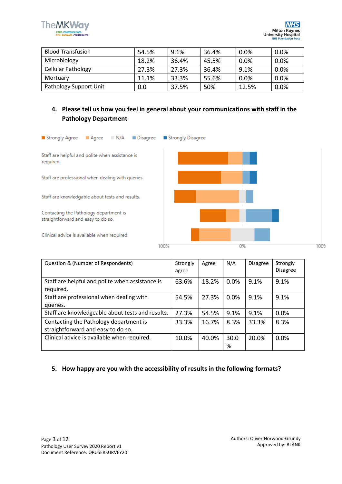

| <b>Blood Transfusion</b>  | 54.5% | 9.1%  | 36.4% | 0.0%  | 0.0% |
|---------------------------|-------|-------|-------|-------|------|
| Microbiology              | 18.2% | 36.4% | 45.5% | 0.0%  | 0.0% |
| <b>Cellular Pathology</b> | 27.3% | 27.3% | 36.4% | 9.1%  | 0.0% |
| Mortuary                  | 11.1% | 33.3% | 55.6% | 0.0%  | 0.0% |
| Pathology Support Unit    | 0.0   | 37.5% | 50%   | 12.5% | 0.0% |

### **4. Please tell us how you feel in general about your communications with staff in the Pathology Department**



| Question & (Number of Respondents)                                           | Strongly<br>agree | Agree | N/A       | <b>Disagree</b> | Strongly<br><b>Disagree</b> |
|------------------------------------------------------------------------------|-------------------|-------|-----------|-----------------|-----------------------------|
| Staff are helpful and polite when assistance is<br>required.                 | 63.6%             | 18.2% | 0.0%      | 9.1%            | 9.1%                        |
| Staff are professional when dealing with<br>queries.                         | 54.5%             | 27.3% | 0.0%      | 9.1%            | 9.1%                        |
| Staff are knowledgeable about tests and results.                             | 27.3%             | 54.5% | 9.1%      | 9.1%            | 0.0%                        |
| Contacting the Pathology department is<br>straightforward and easy to do so. | 33.3%             | 16.7% | 8.3%      | 33.3%           | 8.3%                        |
| Clinical advice is available when required.                                  | 10.0%             | 40.0% | 30.0<br>% | 20.0%           | 0.0%                        |

#### **5. How happy are you with the accessibility of results in the following formats?**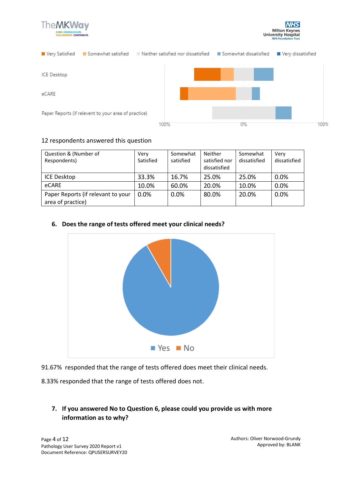





#### 12 respondents answered this question

| Question & (Number of<br>Respondents)                   | Very<br>Satisfied | Somewhat<br>satisfied | <b>Neither</b><br>satisfied nor<br>dissatisfied | Somewhat<br>dissatisfied | Verv<br>dissatisfied |
|---------------------------------------------------------|-------------------|-----------------------|-------------------------------------------------|--------------------------|----------------------|
| <b>ICE Desktop</b>                                      | 33.3%             | 16.7%                 | 25.0%                                           | 25.0%                    | 0.0%                 |
| eCARE                                                   | 10.0%             | 60.0%                 | 20.0%                                           | 10.0%                    | 0.0%                 |
| Paper Reports (if relevant to your<br>area of practice) | 0.0%              | 0.0%                  | 80.0%                                           | 20.0%                    | 0.0%                 |

#### **6. Does the range of tests offered meet your clinical needs?**



91.67% responded that the range of tests offered does meet their clinical needs.

8.33% responded that the range of tests offered does not.

# **7. If you answered No to Question 6, please could you provide us with more information as to why?**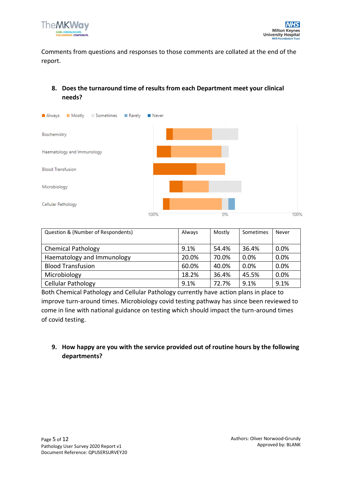

Comments from questions and responses to those comments are collated at the end of the report.

# **8. Does the turnaround time of results from each Department meet your clinical needs?**



| Question & (Number of Respondents) | Always | Mostly | Sometimes | Never |
|------------------------------------|--------|--------|-----------|-------|
| <b>Chemical Pathology</b>          | 9.1%   | 54.4%  | 36.4%     | 0.0%  |
| Haematology and Immunology         | 20.0%  | 70.0%  | 0.0%      | 0.0%  |
| <b>Blood Transfusion</b>           | 60.0%  | 40.0%  | 0.0%      | 0.0%  |
| Microbiology                       | 18.2%  | 36.4%  | 45.5%     | 0.0%  |
| Cellular Pathology                 | 9.1%   | 72.7%  | 9.1%      | 9.1%  |

Both Chemical Pathology and Cellular Pathology currently have action plans in place to improve turn-around times. Microbiology covid testing pathway has since been reviewed to come in line with national guidance on testing which should impact the turn-around times of covid testing.

## **9. How happy are you with the service provided out of routine hours by the following departments?**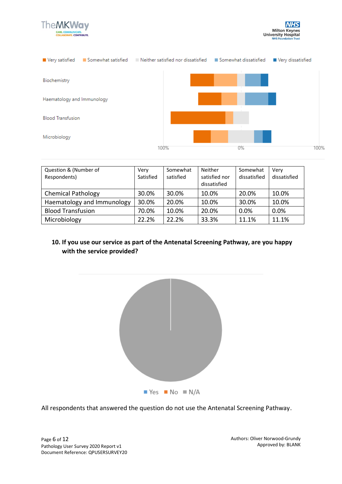





| Question & (Number of<br>Respondents) | Very<br>Satisfied | Somewhat<br>satisfied | Neither<br>satisfied nor<br>dissatisfied | Somewhat<br>dissatisfied | Verv<br>dissatisfied |
|---------------------------------------|-------------------|-----------------------|------------------------------------------|--------------------------|----------------------|
| <b>Chemical Pathology</b>             | 30.0%             | 30.0%                 | 10.0%                                    | 20.0%                    | 10.0%                |
| Haematology and Immunology            | 30.0%             | 20.0%                 | 10.0%                                    | 30.0%                    | 10.0%                |
| <b>Blood Transfusion</b>              | 70.0%             | 10.0%                 | 20.0%                                    | 0.0%                     | 0.0%                 |
| Microbiology                          | 22.2%             | 22.2%                 | 33.3%                                    | 11.1%                    | 11.1%                |

#### **10. If you use our service as part of the Antenatal Screening Pathway, are you happy with the service provided?**



All respondents that answered the question do not use the Antenatal Screening Pathway.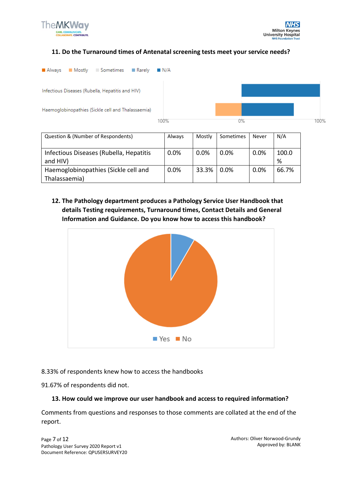

#### **11. Do the Turnaround times of Antenatal screening tests meet your service needs?**



| Infectious Diseases (Rubella, Hepatitis | $0.0\%$ | $0.0\%$ | 0.0% | $0.0\%$ | 100.0 |
|-----------------------------------------|---------|---------|------|---------|-------|
| and HIV)                                |         |         |      |         | %     |
| Haemoglobinopathies (Sickle cell and    | 0.0%    | 33.3%   | 0.0% | 0.0%    | 66.7% |
| Thalassaemia)                           |         |         |      |         |       |

**12. The Pathology department produces a Pathology Service User Handbook that details Testing requirements, Turnaround times, Contact Details and General Information and Guidance. Do you know how to access this handbook?**



8.33% of respondents knew how to access the handbooks

91.67% of respondents did not.

#### **13. How could we improve our user handbook and access to required information?**

Comments from questions and responses to those comments are collated at the end of the report.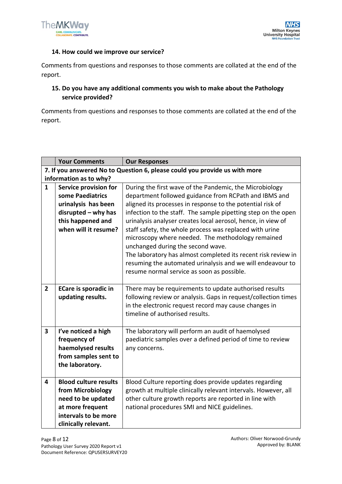

#### **14. How could we improve our service?**

Comments from questions and responses to those comments are collated at the end of the report.

## **15. Do you have any additional comments you wish to make about the Pathology service provided?**

Comments from questions and responses to those comments are collated at the end of the report.

|                         | <b>Your Comments</b>         | <b>Our Responses</b>                                                       |
|-------------------------|------------------------------|----------------------------------------------------------------------------|
|                         |                              | 7. If you answered No to Question 6, please could you provide us with more |
|                         | information as to why?       |                                                                            |
| $\mathbf{1}$            | Service provision for        | During the first wave of the Pandemic, the Microbiology                    |
|                         | some Paediatrics             | department followed guidance from RCPath and IBMS and                      |
|                         | urinalysis has been          | aligned its processes in response to the potential risk of                 |
|                         | $disrupted - why has$        | infection to the staff. The sample pipetting step on the open              |
|                         | this happened and            | urinalysis analyser creates local aerosol, hence, in view of               |
|                         | when will it resume?         | staff safety, the whole process was replaced with urine                    |
|                         |                              | microscopy where needed. The methodology remained                          |
|                         |                              | unchanged during the second wave.                                          |
|                         |                              | The laboratory has almost completed its recent risk review in              |
|                         |                              | resuming the automated urinalysis and we will endeavour to                 |
|                         |                              | resume normal service as soon as possible.                                 |
|                         |                              |                                                                            |
| $\overline{2}$          | <b>ECare is sporadic in</b>  | There may be requirements to update authorised results                     |
|                         | updating results.            | following review or analysis. Gaps in request/collection times             |
|                         |                              | in the electronic request record may cause changes in                      |
|                         |                              | timeline of authorised results.                                            |
|                         |                              |                                                                            |
| $\overline{\mathbf{3}}$ | I've noticed a high          | The laboratory will perform an audit of haemolysed                         |
|                         | frequency of                 | paediatric samples over a defined period of time to review                 |
|                         | haemolysed results           | any concerns.                                                              |
|                         | from samples sent to         |                                                                            |
|                         | the laboratory.              |                                                                            |
|                         |                              |                                                                            |
| 4                       | <b>Blood culture results</b> | Blood Culture reporting does provide updates regarding                     |
|                         | from Microbiology            | growth at multiple clinically relevant intervals. However, all             |
|                         | need to be updated           | other culture growth reports are reported in line with                     |
|                         | at more frequent             | national procedures SMI and NICE guidelines.                               |
|                         | intervals to be more         |                                                                            |
|                         | clinically relevant.         |                                                                            |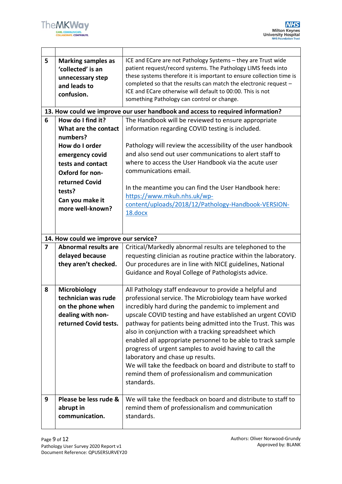

 $\mathbf{r}$ 

| 5                       | <b>Marking samples as</b><br>'collected' is an<br>unnecessary step<br>and leads to<br>confusion.                                                               | ICE and ECare are not Pathology Systems - they are Trust wide<br>patient request/record systems. The Pathology LIMS feeds into<br>these systems therefore it is important to ensure collection time is<br>completed so that the results can match the electronic request -<br>ICE and ECare otherwise will default to 00:00. This is not<br>something Pathology can control or change.                                                                                                                                                                                                                                                                            |
|-------------------------|----------------------------------------------------------------------------------------------------------------------------------------------------------------|-------------------------------------------------------------------------------------------------------------------------------------------------------------------------------------------------------------------------------------------------------------------------------------------------------------------------------------------------------------------------------------------------------------------------------------------------------------------------------------------------------------------------------------------------------------------------------------------------------------------------------------------------------------------|
|                         |                                                                                                                                                                | 13. How could we improve our user handbook and access to required information?                                                                                                                                                                                                                                                                                                                                                                                                                                                                                                                                                                                    |
| 6                       | How do I find it?<br>What are the contact<br>numbers?<br>How do I order<br>emergency covid<br>tests and contact<br>Oxford for non-<br>returned Covid<br>tests? | The Handbook will be reviewed to ensure appropriate<br>information regarding COVID testing is included.<br>Pathology will review the accessibility of the user handbook<br>and also send out user communications to alert staff to<br>where to access the User Handbook via the acute user<br>communications email.<br>In the meantime you can find the User Handbook here:                                                                                                                                                                                                                                                                                       |
|                         | Can you make it<br>more well-known?                                                                                                                            | https://www.mkuh.nhs.uk/wp-<br>content/uploads/2018/12/Pathology-Handbook-VERSION-<br>18.docx                                                                                                                                                                                                                                                                                                                                                                                                                                                                                                                                                                     |
|                         | 14. How could we improve our service?                                                                                                                          |                                                                                                                                                                                                                                                                                                                                                                                                                                                                                                                                                                                                                                                                   |
| $\overline{\mathbf{z}}$ | <b>Abnormal results are</b><br>delayed because<br>they aren't checked.                                                                                         | Critical/Markedly abnormal results are telephoned to the<br>requesting clinician as routine practice within the laboratory.<br>Our procedures are in line with NICE guidelines, National<br>Guidance and Royal College of Pathologists advice.                                                                                                                                                                                                                                                                                                                                                                                                                    |
| 8                       | <b>Microbiology</b><br>technician was rude<br>on the phone when<br>dealing with non-<br>returned Covid tests.                                                  | All Pathology staff endeavour to provide a helpful and<br>professional service. The Microbiology team have worked<br>incredibly hard during the pandemic to implement and<br>upscale COVID testing and have established an urgent COVID<br>pathway for patients being admitted into the Trust. This was<br>also in conjunction with a tracking spreadsheet which<br>enabled all appropriate personnel to be able to track sample<br>progress of urgent samples to avoid having to call the<br>laboratory and chase up results.<br>We will take the feedback on board and distribute to staff to<br>remind them of professionalism and communication<br>standards. |
| 9                       | Please be less rude &<br>abrupt in<br>communication.                                                                                                           | We will take the feedback on board and distribute to staff to<br>remind them of professionalism and communication<br>standards.                                                                                                                                                                                                                                                                                                                                                                                                                                                                                                                                   |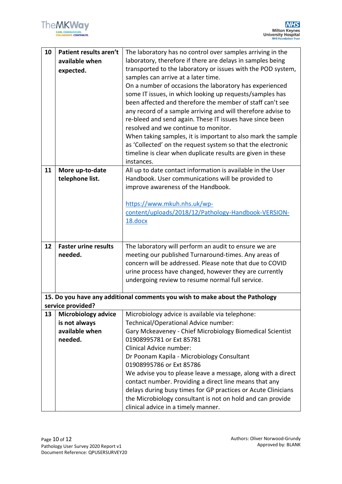| 10 | Patient results aren't      | The laboratory has no control over samples arriving in the                   |
|----|-----------------------------|------------------------------------------------------------------------------|
|    | available when              | laboratory, therefore if there are delays in samples being                   |
|    | expected.                   | transported to the laboratory or issues with the POD system,                 |
|    |                             | samples can arrive at a later time.                                          |
|    |                             | On a number of occasions the laboratory has experienced                      |
|    |                             | some IT issues, in which looking up requests/samples has                     |
|    |                             | been affected and therefore the member of staff can't see                    |
|    |                             | any record of a sample arriving and will therefore advise to                 |
|    |                             | re-bleed and send again. These IT issues have since been                     |
|    |                             | resolved and we continue to monitor.                                         |
|    |                             | When taking samples, it is important to also mark the sample                 |
|    |                             | as 'Collected' on the request system so that the electronic                  |
|    |                             | timeline is clear when duplicate results are given in these                  |
|    |                             | instances.                                                                   |
| 11 | More up-to-date             | All up to date contact information is available in the User                  |
|    | telephone list.             | Handbook. User communications will be provided to                            |
|    |                             | improve awareness of the Handbook.                                           |
|    |                             |                                                                              |
|    |                             | https://www.mkuh.nhs.uk/wp-                                                  |
|    |                             | content/uploads/2018/12/Pathology-Handbook-VERSION-                          |
|    |                             | 18.docx                                                                      |
|    |                             |                                                                              |
|    |                             |                                                                              |
| 12 | <b>Faster urine results</b> | The laboratory will perform an audit to ensure we are                        |
|    | needed.                     | meeting our published Turnaround-times. Any areas of                         |
|    |                             | concern will be addressed. Please note that due to COVID                     |
|    |                             | urine process have changed, however they are currently                       |
|    |                             | undergoing review to resume normal full service.                             |
|    |                             |                                                                              |
|    | service provided?           | 15. Do you have any additional comments you wish to make about the Pathology |
| 13 | <b>Microbiology advice</b>  | Microbiology advice is available via telephone:                              |
|    | is not always               | Technical/Operational Advice number:                                         |
|    | available when              | Gary Mckeaveney - Chief Microbiology Biomedical Scientist                    |
|    | needed.                     | 01908995781 or Ext 85781                                                     |
|    |                             | Clinical Advice number:                                                      |
|    |                             | Dr Poonam Kapila - Microbiology Consultant                                   |
|    |                             | 01908995786 or Ext 85786                                                     |
|    |                             | We advise you to please leave a message, along with a direct                 |
|    |                             | contact number. Providing a direct line means that any                       |
|    |                             | delays during busy times for GP practices or Acute Clinicians                |
|    |                             | the Microbiology consultant is not on hold and can provide                   |
|    |                             | clinical advice in a timely manner.                                          |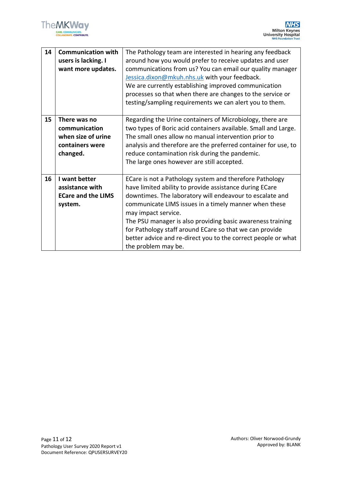

| 14 | <b>Communication with</b><br>users is lacking. I<br>want more updates.             | The Pathology team are interested in hearing any feedback<br>around how you would prefer to receive updates and user<br>communications from us? You can email our quality manager<br>Jessica.dixon@mkuh.nhs.uk with your feedback.<br>We are currently establishing improved communication<br>processes so that when there are changes to the service or<br>testing/sampling requirements we can alert you to them.                                                             |
|----|------------------------------------------------------------------------------------|---------------------------------------------------------------------------------------------------------------------------------------------------------------------------------------------------------------------------------------------------------------------------------------------------------------------------------------------------------------------------------------------------------------------------------------------------------------------------------|
| 15 | There was no<br>communication<br>when size of urine<br>containers were<br>changed. | Regarding the Urine containers of Microbiology, there are<br>two types of Boric acid containers available. Small and Large.<br>The small ones allow no manual intervention prior to<br>analysis and therefore are the preferred container for use, to<br>reduce contamination risk during the pandemic.<br>The large ones however are still accepted.                                                                                                                           |
| 16 | I want better<br>assistance with<br><b>ECare and the LIMS</b><br>system.           | ECare is not a Pathology system and therefore Pathology<br>have limited ability to provide assistance during ECare<br>downtimes. The laboratory will endeavour to escalate and<br>communicate LIMS issues in a timely manner when these<br>may impact service.<br>The PSU manager is also providing basic awareness training<br>for Pathology staff around ECare so that we can provide<br>better advice and re-direct you to the correct people or what<br>the problem may be. |